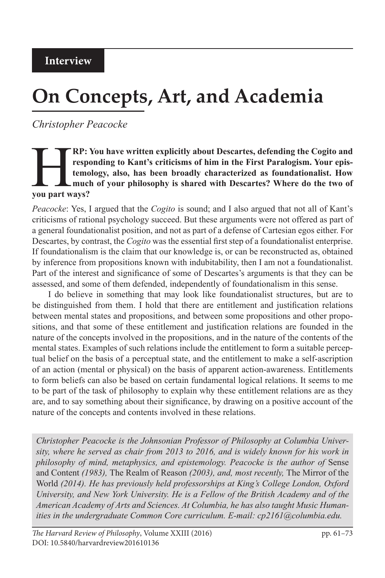# **On Concepts, Art, and Academia**

# *Christopher Peacocke*

# **FRP: You have written explicitly about Descartes, defending the Cogito and responding to Kant's criticisms of him in the First Paralogism. Your epistemology, also, has been broadly characterized as foundationalist. How mu responding to Kant's criticisms of him in the First Paralogism. Your epistemology, also, has been broadly characterized as foundationalist. How much of your philosophy is shared with Descartes? Where do the two of you part ways?**

*Peacocke*: Yes, I argued that the *Cogito* is sound; and I also argued that not all of Kant's criticisms of rational psychology succeed. But these arguments were not offered as part of a general foundationalist position, and not as part of a defense of Cartesian egos either. For Descartes, by contrast, the *Cogito* was the essential first step of a foundationalist enterprise. If foundationalism is the claim that our knowledge is, or can be reconstructed as, obtained by inference from propositions known with indubitability, then I am not a foundationalist. Part of the interest and significance of some of Descartes's arguments is that they can be assessed, and some of them defended, independently of foundationalism in this sense.

I do believe in something that may look like foundationalist structures, but are to be distinguished from them. I hold that there are entitlement and justification relations between mental states and propositions, and between some propositions and other propositions, and that some of these entitlement and justification relations are founded in the nature of the concepts involved in the propositions, and in the nature of the contents of the mental states. Examples of such relations include the entitlement to form a suitable perceptual belief on the basis of a perceptual state, and the entitlement to make a self-ascription of an action (mental or physical) on the basis of apparent action-awareness. Entitlements to form beliefs can also be based on certain fundamental logical relations. It seems to me to be part of the task of philosophy to explain why these entitlement relations are as they are, and to say something about their significance, by drawing on a positive account of the nature of the concepts and contents involved in these relations.

*Christopher Peacocke is the Johnsonian Professor of Philosophy at Columbia University, where he served as chair from 2013 to 2016, and is widely known for his work in philosophy of mind, metaphysics, and epistemology. Peacocke is the author of* Sense and Content *(1983),* The Realm of Reason *(2003), and, most recently,* The Mirror of the World *(2014). He has previously held professorships at King's College London, Oxford University, and New York University. He is a Fellow of the British Academy and of the American Academy of Arts and Sciences. At Columbia, he has also taught Music Humanities in the undergraduate Common Core curriculum. E-mail: cp2161@columbia.edu.*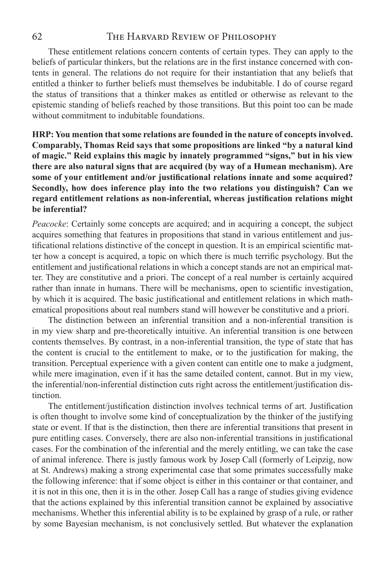These entitlement relations concern contents of certain types. They can apply to the beliefs of particular thinkers, but the relations are in the first instance concerned with contents in general. The relations do not require for their instantiation that any beliefs that entitled a thinker to further beliefs must themselves be indubitable. I do of course regard the status of transitions that a thinker makes as entitled or otherwise as relevant to the epistemic standing of beliefs reached by those transitions. But this point too can be made without commitment to indubitable foundations.

**HRP: You mention that some relations are founded in the nature of concepts involved. Comparably, Thomas Reid says that some propositions are linked "by a natural kind of magic." Reid explains this magic by innately programmed "signs," but in his view there are also natural signs that are acquired (by way of a Humean mechanism). Are some of your entitlement and/or justificational relations innate and some acquired? Secondly, how does inference play into the two relations you distinguish? Can we regard entitlement relations as non-inferential, whereas justification relations might be inferential?**

*Peacocke*: Certainly some concepts are acquired; and in acquiring a concept, the subject acquires something that features in propositions that stand in various entitlement and justificational relations distinctive of the concept in question. It is an empirical scientific matter how a concept is acquired, a topic on which there is much terrific psychology. But the entitlement and justificational relations in which a concept stands are not an empirical matter. They are constitutive and a priori. The concept of a real number is certainly acquired rather than innate in humans. There will be mechanisms, open to scientific investigation, by which it is acquired. The basic justificational and entitlement relations in which mathematical propositions about real numbers stand will however be constitutive and a priori.

The distinction between an inferential transition and a non-inferential transition is in my view sharp and pre-theoretically intuitive. An inferential transition is one between contents themselves. By contrast, in a non-inferential transition, the type of state that has the content is crucial to the entitlement to make, or to the justification for making, the transition. Perceptual experience with a given content can entitle one to make a judgment, while mere imagination, even if it has the same detailed content, cannot. But in my view, the inferential/non-inferential distinction cuts right across the entitlement/justification distinction.

The entitlement/justification distinction involves technical terms of art. Justification is often thought to involve some kind of conceptualization by the thinker of the justifying state or event. If that is the distinction, then there are inferential transitions that present in pure entitling cases. Conversely, there are also non-inferential transitions in justificational cases. For the combination of the inferential and the merely entitling, we can take the case of animal inference. There is justly famous work by Josep Call (formerly of Leipzig, now at St. Andrews) making a strong experimental case that some primates successfully make the following inference: that if some object is either in this container or that container, and it is not in this one, then it is in the other. Josep Call has a range of studies giving evidence that the actions explained by this inferential transition cannot be explained by associative mechanisms. Whether this inferential ability is to be explained by grasp of a rule, or rather by some Bayesian mechanism, is not conclusively settled. But whatever the explanation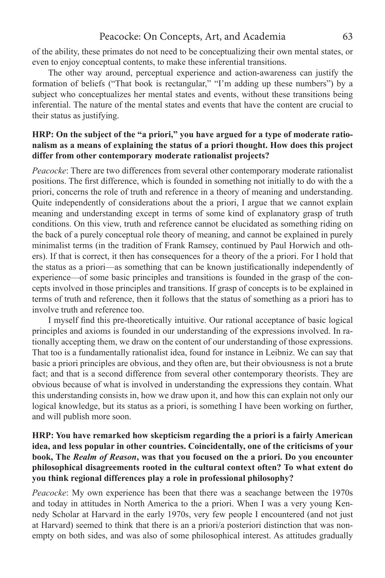of the ability, these primates do not need to be conceptualizing their own mental states, or even to enjoy conceptual contents, to make these inferential transitions.

The other way around, perceptual experience and action-awareness can justify the formation of beliefs ("That book is rectangular," "I'm adding up these numbers") by a subject who conceptualizes her mental states and events, without these transitions being inferential. The nature of the mental states and events that have the content are crucial to their status as justifying.

### **HRP: On the subject of the "a priori," you have argued for a type of moderate rationalism as a means of explaining the status of a priori thought. How does this project differ from other contemporary moderate rationalist projects?**

*Peacocke*: There are two differences from several other contemporary moderate rationalist positions. The first difference, which is founded in something not initially to do with the a priori, concerns the role of truth and reference in a theory of meaning and understanding. Quite independently of considerations about the a priori, I argue that we cannot explain meaning and understanding except in terms of some kind of explanatory grasp of truth conditions. On this view, truth and reference cannot be elucidated as something riding on the back of a purely conceptual role theory of meaning, and cannot be explained in purely minimalist terms (in the tradition of Frank Ramsey, continued by Paul Horwich and others). If that is correct, it then has consequences for a theory of the a priori. For I hold that the status as a priori—as something that can be known justificationally independently of experience—of some basic principles and transitions is founded in the grasp of the concepts involved in those principles and transitions. If grasp of concepts is to be explained in terms of truth and reference, then it follows that the status of something as a priori has to involve truth and reference too.

I myself find this pre-theoretically intuitive. Our rational acceptance of basic logical principles and axioms is founded in our understanding of the expressions involved. In rationally accepting them, we draw on the content of our understanding of those expressions. That too is a fundamentally rationalist idea, found for instance in Leibniz. We can say that basic a priori principles are obvious, and they often are, but their obviousness is not a brute fact; and that is a second difference from several other contemporary theorists. They are obvious because of what is involved in understanding the expressions they contain. What this understanding consists in, how we draw upon it, and how this can explain not only our logical knowledge, but its status as a priori, is something I have been working on further, and will publish more soon.

#### **HRP: You have remarked how skepticism regarding the a priori is a fairly American idea, and less popular in other countries. Coincidentally, one of the criticisms of your book, The** *Realm of Reason***, was that you focused on the a priori. Do you encounter philosophical disagreements rooted in the cultural context often? To what extent do you think regional differences play a role in professional philosophy?**

*Peacocke*: My own experience has been that there was a seachange between the 1970s and today in attitudes in North America to the a priori. When I was a very young Kennedy Scholar at Harvard in the early 1970s, very few people I encountered (and not just at Harvard) seemed to think that there is an a priori/a posteriori distinction that was nonempty on both sides, and was also of some philosophical interest. As attitudes gradually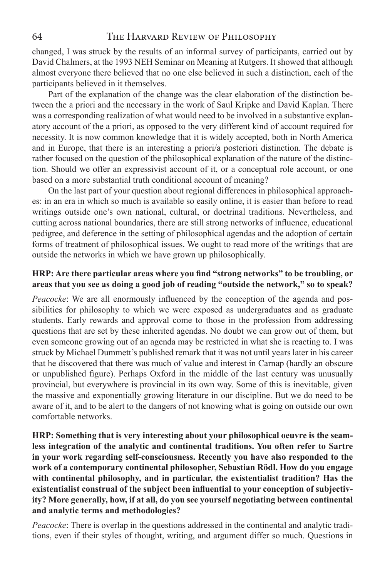changed, I was struck by the results of an informal survey of participants, carried out by David Chalmers, at the 1993 NEH Seminar on Meaning at Rutgers. It showed that although almost everyone there believed that no one else believed in such a distinction, each of the participants believed in it themselves.

Part of the explanation of the change was the clear elaboration of the distinction between the a priori and the necessary in the work of Saul Kripke and David Kaplan. There was a corresponding realization of what would need to be involved in a substantive explanatory account of the a priori, as opposed to the very different kind of account required for necessity. It is now common knowledge that it is widely accepted, both in North America and in Europe, that there is an interesting a priori/a posteriori distinction. The debate is rather focused on the question of the philosophical explanation of the nature of the distinction. Should we offer an expressivist account of it, or a conceptual role account, or one based on a more substantial truth conditional account of meaning?

On the last part of your question about regional differences in philosophical approaches: in an era in which so much is available so easily online, it is easier than before to read writings outside one's own national, cultural, or doctrinal traditions. Nevertheless, and cutting across national boundaries, there are still strong networks of influence, educational pedigree, and deference in the setting of philosophical agendas and the adoption of certain forms of treatment of philosophical issues. We ought to read more of the writings that are outside the networks in which we have grown up philosophically.

#### **HRP: Are there particular areas where you find "strong networks" to be troubling, or areas that you see as doing a good job of reading "outside the network," so to speak?**

*Peacocke*: We are all enormously influenced by the conception of the agenda and possibilities for philosophy to which we were exposed as undergraduates and as graduate students. Early rewards and approval come to those in the profession from addressing questions that are set by these inherited agendas. No doubt we can grow out of them, but even someone growing out of an agenda may be restricted in what she is reacting to. I was struck by Michael Dummett's published remark that it was not until years later in his career that he discovered that there was much of value and interest in Carnap (hardly an obscure or unpublished figure). Perhaps Oxford in the middle of the last century was unusually provincial, but everywhere is provincial in its own way. Some of this is inevitable, given the massive and exponentially growing literature in our discipline. But we do need to be aware of it, and to be alert to the dangers of not knowing what is going on outside our own comfortable networks.

**HRP: Something that is very interesting about your philosophical oeuvre is the seamless integration of the analytic and continental traditions. You often refer to Sartre in your work regarding self-consciousness. Recently you have also responded to the work of a contemporary continental philosopher, Sebastian Rödl. How do you engage with continental philosophy, and in particular, the existentialist tradition? Has the existentialist construal of the subject been influential to your conception of subjectivity? More generally, how, if at all, do you see yourself negotiating between continental and analytic terms and methodologies?**

*Peacocke*: There is overlap in the questions addressed in the continental and analytic traditions, even if their styles of thought, writing, and argument differ so much. Questions in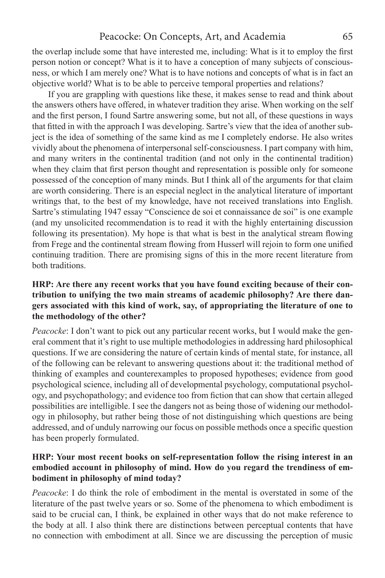the overlap include some that have interested me, including: What is it to employ the first person notion or concept? What is it to have a conception of many subjects of consciousness, or which I am merely one? What is to have notions and concepts of what is in fact an objective world? What is to be able to perceive temporal properties and relations?

If you are grappling with questions like these, it makes sense to read and think about the answers others have offered, in whatever tradition they arise. When working on the self and the first person, I found Sartre answering some, but not all, of these questions in ways that fitted in with the approach I was developing. Sartre's view that the idea of another subject is the idea of something of the same kind as me I completely endorse. He also writes vividly about the phenomena of interpersonal self-consciousness. I part company with him, and many writers in the continental tradition (and not only in the continental tradition) when they claim that first person thought and representation is possible only for someone possessed of the conception of many minds. But I think all of the arguments for that claim are worth considering. There is an especial neglect in the analytical literature of important writings that, to the best of my knowledge, have not received translations into English. Sartre's stimulating 1947 essay "Conscience de soi et connaissance de soi" is one example (and my unsolicited recommendation is to read it with the highly entertaining discussion following its presentation). My hope is that what is best in the analytical stream flowing from Frege and the continental stream flowing from Husserl will rejoin to form one unified continuing tradition. There are promising signs of this in the more recent literature from both traditions.

#### **HRP: Are there any recent works that you have found exciting because of their contribution to unifying the two main streams of academic philosophy? Are there dangers associated with this kind of work, say, of appropriating the literature of one to the methodology of the other?**

*Peacocke*: I don't want to pick out any particular recent works, but I would make the general comment that it's right to use multiple methodologies in addressing hard philosophical questions. If we are considering the nature of certain kinds of mental state, for instance, all of the following can be relevant to answering questions about it: the traditional method of thinking of examples and counterexamples to proposed hypotheses; evidence from good psychological science, including all of developmental psychology, computational psychology, and psychopathology; and evidence too from fiction that can show that certain alleged possibilities are intelligible. I see the dangers not as being those of widening our methodology in philosophy, but rather being those of not distinguishing which questions are being addressed, and of unduly narrowing our focus on possible methods once a specific question has been properly formulated.

#### **HRP: Your most recent books on self-representation follow the rising interest in an embodied account in philosophy of mind. How do you regard the trendiness of embodiment in philosophy of mind today?**

*Peacocke*: I do think the role of embodiment in the mental is overstated in some of the literature of the past twelve years or so. Some of the phenomena to which embodiment is said to be crucial can, I think, be explained in other ways that do not make reference to the body at all. I also think there are distinctions between perceptual contents that have no connection with embodiment at all. Since we are discussing the perception of music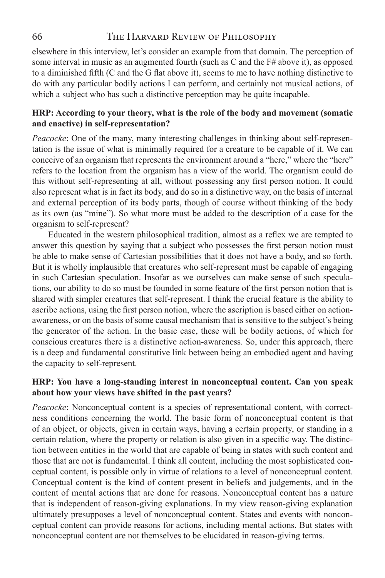elsewhere in this interview, let's consider an example from that domain. The perception of some interval in music as an augmented fourth (such as C and the F# above it), as opposed to a diminished fifth (C and the G flat above it), seems to me to have nothing distinctive to do with any particular bodily actions I can perform, and certainly not musical actions, of which a subject who has such a distinctive perception may be quite incapable.

#### **HRP: According to your theory, what is the role of the body and movement (somatic and enactive) in self-representation?**

*Peacocke*: One of the many, many interesting challenges in thinking about self-representation is the issue of what is minimally required for a creature to be capable of it. We can conceive of an organism that represents the environment around a "here," where the "here" refers to the location from the organism has a view of the world. The organism could do this without self-representing at all, without possessing any first person notion. It could also represent what is in fact its body, and do so in a distinctive way, on the basis of internal and external perception of its body parts, though of course without thinking of the body as its own (as "mine"). So what more must be added to the description of a case for the organism to self-represent?

Educated in the western philosophical tradition, almost as a reflex we are tempted to answer this question by saying that a subject who possesses the first person notion must be able to make sense of Cartesian possibilities that it does not have a body, and so forth. But it is wholly implausible that creatures who self-represent must be capable of engaging in such Cartesian speculation. Insofar as we ourselves can make sense of such speculations, our ability to do so must be founded in some feature of the first person notion that is shared with simpler creatures that self-represent. I think the crucial feature is the ability to ascribe actions, using the first person notion, where the ascription is based either on actionawareness, or on the basis of some causal mechanism that is sensitive to the subject's being the generator of the action. In the basic case, these will be bodily actions, of which for conscious creatures there is a distinctive action-awareness. So, under this approach, there is a deep and fundamental constitutive link between being an embodied agent and having the capacity to self-represent.

#### **HRP: You have a long-standing interest in nonconceptual content. Can you speak about how your views have shifted in the past years?**

*Peacocke*: Nonconceptual content is a species of representational content, with correctness conditions concerning the world. The basic form of nonconceptual content is that of an object, or objects, given in certain ways, having a certain property, or standing in a certain relation, where the property or relation is also given in a specific way. The distinction between entities in the world that are capable of being in states with such content and those that are not is fundamental. I think all content, including the most sophisticated conceptual content, is possible only in virtue of relations to a level of nonconceptual content. Conceptual content is the kind of content present in beliefs and judgements, and in the content of mental actions that are done for reasons. Nonconceptual content has a nature that is independent of reason-giving explanations. In my view reason-giving explanation ultimately presupposes a level of nonconceptual content. States and events with nonconceptual content can provide reasons for actions, including mental actions. But states with nonconceptual content are not themselves to be elucidated in reason-giving terms.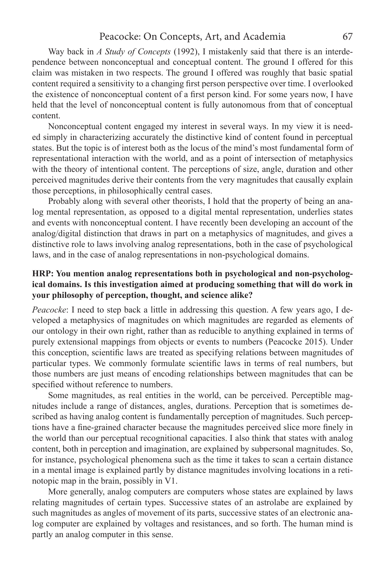Way back in *A Study of Concepts* (1992), I mistakenly said that there is an interdependence between nonconceptual and conceptual content. The ground I offered for this claim was mistaken in two respects. The ground I offered was roughly that basic spatial content required a sensitivity to a changing first person perspective over time. I overlooked the existence of nonconceptual content of a first person kind. For some years now, I have held that the level of nonconceptual content is fully autonomous from that of conceptual content.

Nonconceptual content engaged my interest in several ways. In my view it is needed simply in characterizing accurately the distinctive kind of content found in perceptual states. But the topic is of interest both as the locus of the mind's most fundamental form of representational interaction with the world, and as a point of intersection of metaphysics with the theory of intentional content. The perceptions of size, angle, duration and other perceived magnitudes derive their contents from the very magnitudes that causally explain those perceptions, in philosophically central cases.

Probably along with several other theorists, I hold that the property of being an analog mental representation, as opposed to a digital mental representation, underlies states and events with nonconceptual content. I have recently been developing an account of the analog/digital distinction that draws in part on a metaphysics of magnitudes, and gives a distinctive role to laws involving analog representations, both in the case of psychological laws, and in the case of analog representations in non-psychological domains.

#### **HRP: You mention analog representations both in psychological and non-psychological domains. Is this investigation aimed at producing something that will do work in your philosophy of perception, thought, and science alike?**

*Peacocke*: I need to step back a little in addressing this question. A few years ago, I developed a metaphysics of magnitudes on which magnitudes are regarded as elements of our ontology in their own right, rather than as reducible to anything explained in terms of purely extensional mappings from objects or events to numbers (Peacocke 2015). Under this conception, scientific laws are treated as specifying relations between magnitudes of particular types. We commonly formulate scientific laws in terms of real numbers, but those numbers are just means of encoding relationships between magnitudes that can be specified without reference to numbers.

Some magnitudes, as real entities in the world, can be perceived. Perceptible magnitudes include a range of distances, angles, durations. Perception that is sometimes described as having analog content is fundamentally perception of magnitudes. Such perceptions have a fine-grained character because the magnitudes perceived slice more finely in the world than our perceptual recognitional capacities. I also think that states with analog content, both in perception and imagination, are explained by subpersonal magnitudes. So, for instance, psychological phenomena such as the time it takes to scan a certain distance in a mental image is explained partly by distance magnitudes involving locations in a retinotopic map in the brain, possibly in V1.

More generally, analog computers are computers whose states are explained by laws relating magnitudes of certain types. Successive states of an astrolabe are explained by such magnitudes as angles of movement of its parts, successive states of an electronic analog computer are explained by voltages and resistances, and so forth. The human mind is partly an analog computer in this sense.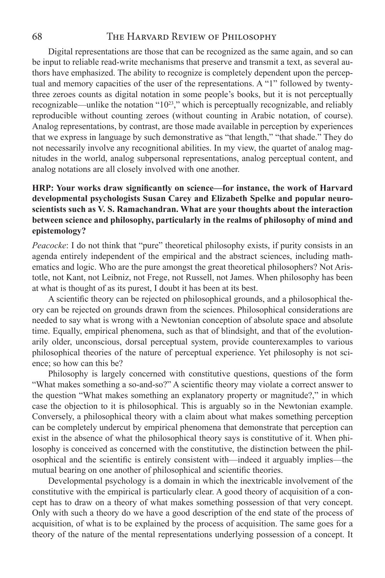Digital representations are those that can be recognized as the same again, and so can be input to reliable read-write mechanisms that preserve and transmit a text, as several authors have emphasized. The ability to recognize is completely dependent upon the perceptual and memory capacities of the user of the representations. A "1" followed by twentythree zeroes counts as digital notation in some people's books, but it is not perceptually recognizable—unlike the notation " $10^{23}$ ," which is perceptually recognizable, and reliably reproducible without counting zeroes (without counting in Arabic notation, of course). Analog representations, by contrast, are those made available in perception by experiences that we express in language by such demonstrative as "that length," "that shade." They do not necessarily involve any recognitional abilities. In my view, the quartet of analog magnitudes in the world, analog subpersonal representations, analog perceptual content, and analog notations are all closely involved with one another.

#### **HRP: Your works draw significantly on science—for instance, the work of Harvard developmental psychologists Susan Carey and Elizabeth Spelke and popular neuroscientists such as V. S. Ramachandran. What are your thoughts about the interaction between science and philosophy, particularly in the realms of philosophy of mind and epistemology?**

*Peacocke*: I do not think that "pure" theoretical philosophy exists, if purity consists in an agenda entirely independent of the empirical and the abstract sciences, including mathematics and logic. Who are the pure amongst the great theoretical philosophers? Not Aristotle, not Kant, not Leibniz, not Frege, not Russell, not James. When philosophy has been at what is thought of as its purest, I doubt it has been at its best.

A scientific theory can be rejected on philosophical grounds, and a philosophical theory can be rejected on grounds drawn from the sciences. Philosophical considerations are needed to say what is wrong with a Newtonian conception of absolute space and absolute time. Equally, empirical phenomena, such as that of blindsight, and that of the evolutionarily older, unconscious, dorsal perceptual system, provide counterexamples to various philosophical theories of the nature of perceptual experience. Yet philosophy is not science; so how can this be?

Philosophy is largely concerned with constitutive questions, questions of the form "What makes something a so-and-so?" A scientific theory may violate a correct answer to the question "What makes something an explanatory property or magnitude?," in which case the objection to it is philosophical. This is arguably so in the Newtonian example. Conversely, a philosophical theory with a claim about what makes something perception can be completely undercut by empirical phenomena that demonstrate that perception can exist in the absence of what the philosophical theory says is constitutive of it. When philosophy is conceived as concerned with the constitutive, the distinction between the philosophical and the scientific is entirely consistent with—indeed it arguably implies—the mutual bearing on one another of philosophical and scientific theories.

Developmental psychology is a domain in which the inextricable involvement of the constitutive with the empirical is particularly clear. A good theory of acquisition of a concept has to draw on a theory of what makes something possession of that very concept. Only with such a theory do we have a good description of the end state of the process of acquisition, of what is to be explained by the process of acquisition. The same goes for a theory of the nature of the mental representations underlying possession of a concept. It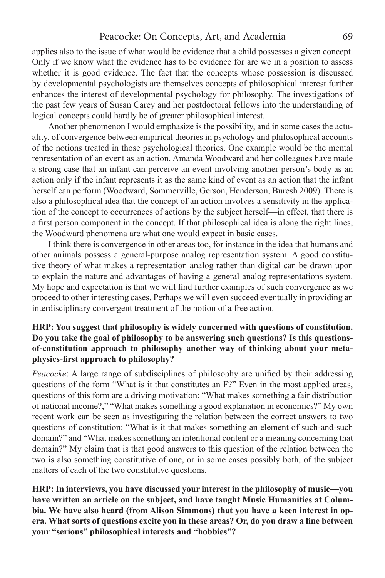applies also to the issue of what would be evidence that a child possesses a given concept. Only if we know what the evidence has to be evidence for are we in a position to assess whether it is good evidence. The fact that the concepts whose possession is discussed by developmental psychologists are themselves concepts of philosophical interest further enhances the interest of developmental psychology for philosophy. The investigations of the past few years of Susan Carey and her postdoctoral fellows into the understanding of logical concepts could hardly be of greater philosophical interest.

Another phenomenon I would emphasize is the possibility, and in some cases the actuality, of convergence between empirical theories in psychology and philosophical accounts of the notions treated in those psychological theories. One example would be the mental representation of an event as an action. Amanda Woodward and her colleagues have made a strong case that an infant can perceive an event involving another person's body as an action only if the infant represents it as the same kind of event as an action that the infant herself can perform (Woodward, Sommerville, Gerson, Henderson, Buresh 2009). There is also a philosophical idea that the concept of an action involves a sensitivity in the application of the concept to occurrences of actions by the subject herself—in effect, that there is a first person component in the concept. If that philosophical idea is along the right lines, the Woodward phenomena are what one would expect in basic cases.

I think there is convergence in other areas too, for instance in the idea that humans and other animals possess a general-purpose analog representation system. A good constitutive theory of what makes a representation analog rather than digital can be drawn upon to explain the nature and advantages of having a general analog representations system. My hope and expectation is that we will find further examples of such convergence as we proceed to other interesting cases. Perhaps we will even succeed eventually in providing an interdisciplinary convergent treatment of the notion of a free action.

#### **HRP: You suggest that philosophy is widely concerned with questions of constitution. Do you take the goal of philosophy to be answering such questions? Is this questionsof-constitution approach to philosophy another way of thinking about your metaphysics-first approach to philosophy?**

*Peacocke*: A large range of subdisciplines of philosophy are unified by their addressing questions of the form "What is it that constitutes an F?" Even in the most applied areas, questions of this form are a driving motivation: "What makes something a fair distribution of national income?," "What makes something a good explanation in economics?" My own recent work can be seen as investigating the relation between the correct answers to two questions of constitution: "What is it that makes something an element of such-and-such domain?" and "What makes something an intentional content or a meaning concerning that domain?" My claim that is that good answers to this question of the relation between the two is also something constitutive of one, or in some cases possibly both, of the subject matters of each of the two constitutive questions.

**HRP: In interviews, you have discussed your interest in the philosophy of music—you have written an article on the subject, and have taught Music Humanities at Columbia. We have also heard (from Alison Simmons) that you have a keen interest in opera. What sorts of questions excite you in these areas? Or, do you draw a line between your "serious" philosophical interests and "hobbies"?**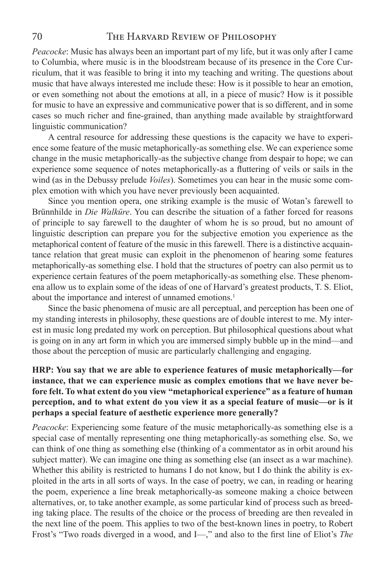*Peacocke*: Music has always been an important part of my life, but it was only after I came to Columbia, where music is in the bloodstream because of its presence in the Core Curriculum, that it was feasible to bring it into my teaching and writing. The questions about music that have always interested me include these: How is it possible to hear an emotion, or even something not about the emotions at all, in a piece of music? How is it possible for music to have an expressive and communicative power that is so different, and in some cases so much richer and fine-grained, than anything made available by straightforward linguistic communication?

A central resource for addressing these questions is the capacity we have to experience some feature of the music metaphorically-as something else. We can experience some change in the music metaphorically-as the subjective change from despair to hope; we can experience some sequence of notes metaphorically-as a fluttering of veils or sails in the wind (as in the Debussy prelude *Voiles*). Sometimes you can hear in the music some complex emotion with which you have never previously been acquainted.

Since you mention opera, one striking example is the music of Wotan's farewell to Brünnhilde in *Die Walküre*. You can describe the situation of a father forced for reasons of principle to say farewell to the daughter of whom he is so proud, but no amount of linguistic description can prepare you for the subjective emotion you experience as the metaphorical content of feature of the music in this farewell. There is a distinctive acquaintance relation that great music can exploit in the phenomenon of hearing some features metaphorically-as something else. I hold that the structures of poetry can also permit us to experience certain features of the poem metaphorically-as something else. These phenomena allow us to explain some of the ideas of one of Harvard's greatest products, T. S. Eliot, about the importance and interest of unnamed emotions.<sup>1</sup>

Since the basic phenomena of music are all perceptual, and perception has been one of my standing interests in philosophy, these questions are of double interest to me. My interest in music long predated my work on perception. But philosophical questions about what is going on in any art form in which you are immersed simply bubble up in the mind—and those about the perception of music are particularly challenging and engaging.

#### **HRP: You say that we are able to experience features of music metaphorically—for instance, that we can experience music as complex emotions that we have never before felt. To what extent do you view "metaphorical experience" as a feature of human perception, and to what extent do you view it as a special feature of music—or is it perhaps a special feature of aesthetic experience more generally?**

*Peacocke*: Experiencing some feature of the music metaphorically-as something else is a special case of mentally representing one thing metaphorically-as something else. So, we can think of one thing as something else (thinking of a commentator as in orbit around his subject matter). We can imagine one thing as something else (an insect as a war machine). Whether this ability is restricted to humans I do not know, but I do think the ability is exploited in the arts in all sorts of ways. In the case of poetry, we can, in reading or hearing the poem, experience a line break metaphorically-as someone making a choice between alternatives, or, to take another example, as some particular kind of process such as breeding taking place. The results of the choice or the process of breeding are then revealed in the next line of the poem. This applies to two of the best-known lines in poetry, to Robert Frost's "Two roads diverged in a wood, and I—," and also to the first line of Eliot's *The*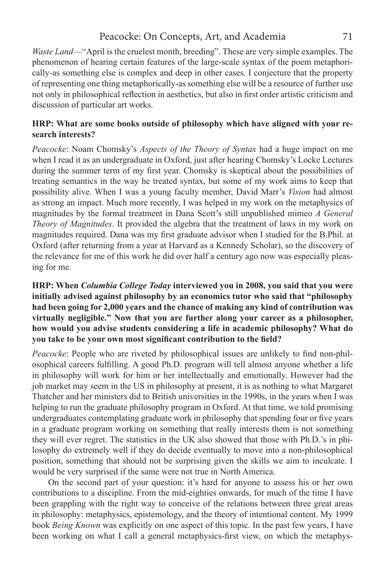*Waste Land*—"April is the cruelest month, breeding". These are very simple examples. The phenomenon of hearing certain features of the large-scale syntax of the poem metaphorically-as something else is complex and deep in other cases. I conjecture that the property of representing one thing metaphorically-as something else will be a resource of further use not only in philosophical reflection in aesthetics, but also in first order artistic criticism and discussion of particular art works.

### **HRP: What are some books outside of philosophy which have aligned with your research interests?**

*Peacocke*: Noam Chomsky's *Aspects of the Theory of Syntax* had a huge impact on me when I read it as an undergraduate in Oxford, just after hearing Chomsky's Locke Lectures during the summer term of my first year. Chomsky is skeptical about the possibilities of treating semantics in the way he treated syntax, but some of my work aims to keep that possibility alive. When I was a young faculty member, David Marr's *Vision* had almost as strong an impact. Much more recently, I was helped in my work on the metaphysics of magnitudes by the formal treatment in Dana Scott's still unpublished mimeo *A General Theory of Magnitudes*. It provided the algebra that the treatment of laws in my work on magnitudes required. Dana was my first graduate advisor when I studied for the B.Phil. at Oxford (after returning from a year at Harvard as a Kennedy Scholar), so the discovery of the relevance for me of this work he did over half a century ago now was especially pleasing for me.

#### **HRP: When** *Columbia College Today* **interviewed you in 2008, you said that you were initially advised against philosophy by an economics tutor who said that "philosophy had been going for 2,000 years and the chance of making any kind of contribution was virtually negligible." Now that you are further along your career as a philosopher, how would you advise students considering a life in academic philosophy? What do you take to be your own most significant contribution to the field?**

*Peacocke*: People who are riveted by philosophical issues are unlikely to find non-philosophical careers fulfilling. A good Ph.D. program will tell almost anyone whether a life in philosophy will work for him or her intellectually and emotionally. However bad the job market may seem in the US in philosophy at present, it is as nothing to what Margaret Thatcher and her ministers did to British universities in the 1990s, in the years when I was helping to run the graduate philosophy program in Oxford. At that time, we told promising undergraduates contemplating graduate work in philosophy that spending four or five years in a graduate program working on something that really interests them is not something they will ever regret. The statistics in the UK also showed that those with Ph.D.'s in philosophy do extremely well if they do decide eventually to move into a non-philosophical position, something that should not be surprising given the skills we aim to inculcate. I would be very surprised if the same were not true in North America.

On the second part of your question: it's hard for anyone to assess his or her own contributions to a discipline. From the mid-eighties onwards, for much of the time I have been grappling with the right way to conceive of the relations between three great areas in philosophy: metaphysics, epistemology, and the theory of intentional content. My 1999 book *Being Known* was explicitly on one aspect of this topic. In the past few years, I have been working on what I call a general metaphysics-first view, on which the metaphys-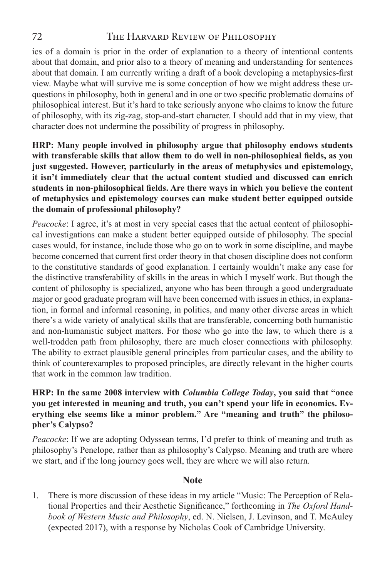ics of a domain is prior in the order of explanation to a theory of intentional contents about that domain, and prior also to a theory of meaning and understanding for sentences about that domain. I am currently writing a draft of a book developing a metaphysics-first view. Maybe what will survive me is some conception of how we might address these urquestions in philosophy, both in general and in one or two specific problematic domains of philosophical interest. But it's hard to take seriously anyone who claims to know the future of philosophy, with its zig-zag, stop-and-start character. I should add that in my view, that character does not undermine the possibility of progress in philosophy.

**HRP: Many people involved in philosophy argue that philosophy endows students with transferable skills that allow them to do well in non-philosophical fields, as you just suggested. However, particularly in the areas of metaphysics and epistemology, it isn't immediately clear that the actual content studied and discussed can enrich students in non-philosophical fields. Are there ways in which you believe the content of metaphysics and epistemology courses can make student better equipped outside the domain of professional philosophy?**

*Peacocke*: I agree, it's at most in very special cases that the actual content of philosophical investigations can make a student better equipped outside of philosophy. The special cases would, for instance, include those who go on to work in some discipline, and maybe become concerned that current first order theory in that chosen discipline does not conform to the constitutive standards of good explanation. I certainly wouldn't make any case for the distinctive transferability of skills in the areas in which I myself work. But though the content of philosophy is specialized, anyone who has been through a good undergraduate major or good graduate program will have been concerned with issues in ethics, in explanation, in formal and informal reasoning, in politics, and many other diverse areas in which there's a wide variety of analytical skills that are transferable, concerning both humanistic and non-humanistic subject matters. For those who go into the law, to which there is a well-trodden path from philosophy, there are much closer connections with philosophy. The ability to extract plausible general principles from particular cases, and the ability to think of counterexamples to proposed principles, are directly relevant in the higher courts that work in the common law tradition.

# **HRP: In the same 2008 interview with** *Columbia College Today***, you said that "once you get interested in meaning and truth, you can't spend your life in economics. Everything else seems like a minor problem." Are "meaning and truth" the philosopher's Calypso?**

*Peacocke*: If we are adopting Odyssean terms, I'd prefer to think of meaning and truth as philosophy's Penelope, rather than as philosophy's Calypso. Meaning and truth are where we start, and if the long journey goes well, they are where we will also return.

#### **Note**

1. There is more discussion of these ideas in my article "Music: The Perception of Relational Properties and their Aesthetic Significance," forthcoming in *The Oxford Handbook of Western Music and Philosophy*, ed. N. Nielsen, J. Levinson, and T. McAuley (expected 2017), with a response by Nicholas Cook of Cambridge University.